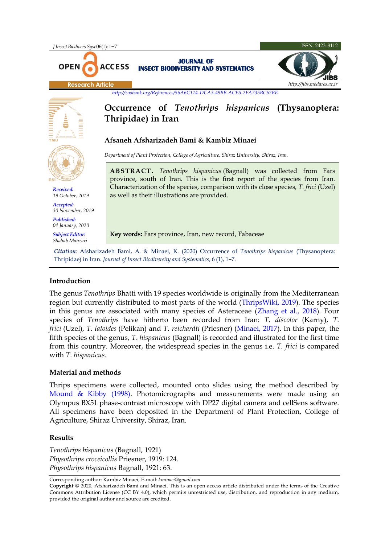

## **Introduction**

The genus *Tenothrips* Bhatti with 19 species worldwide is originally from the Mediterranean region but currently distributed to most parts of the world [\(ThripsWiki, 2019\)](#page-4-0). The species in this genus are associated with many species of Asteraceae [\(Zhang et al., 2018\)](#page-5-0). Four species of *Tenothrips* have hitherto been recorded from Iran: *T. discolor* (Karny), *T. frici* (Uzel), *T. latoides* (Pelikan) and *T. reichardti* (Priesner) [\(Minaei, 2017\)](#page-4-1). In this paper, the fifth species of the genus, *T*. *hispanicus* (Bagnall) is recorded and illustrated for the first time from this country. Moreover, the widespread species in the genus i.e. *T. frici* is compared with *T*. *hispanicus*.

# **Material and methods**

Thrips specimens were collected, mounted onto slides using the method described by [Mound & Kibby \(1998\).](#page-4-2) Photomicrographs and measurements were made using an Olympus BX51 phase-contrast microscope with DP27 digital camera and cellSens software. All specimens have been deposited in the Department of Plant Protection, College of Agriculture, Shiraz University, Shiraz, Iran.

## **Results**

*Tenothrips hispanicus* (Bagnall, 1921) *Physothrips croceicollis* Priesner, 1919: 124. *Physothrips hispanicus* Bagnall, 1921: 63.

Corresponding author: Kambiz Minaei*,* E-mail: *kminaei@gmail.com*

**Copyright** © 2020, Afsharizadeh Bami and Minaei. This is an open access article distributed under the terms of the Creative Commons Attribution License (CC BY 4.0), which permits unrestricted use, distribution, and reproduction in any medium, provided the original author and source are credited.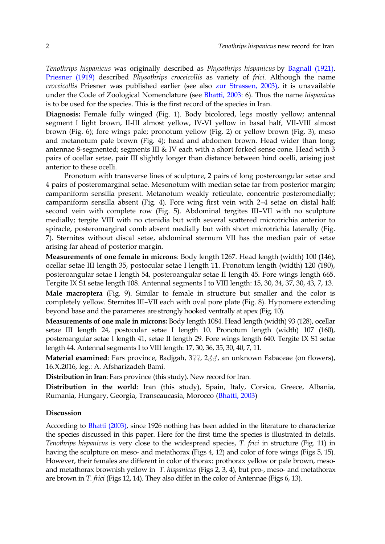*Tenothrips hispanicus* was originally described as *Physothrips hispanicus* by [Bagnall \(1921\).](#page-4-3) [Priesner \(1919\)](#page-4-4) described *Physothrips croceicollis* as variety of *frici*. Although the name *croceicollis* Priesner was published earlier (see also [zur Strassen, 2003\),](#page-5-1) it is unavailable under the Code of Zoological Nomenclature (see [Bhatti, 2003:](#page-4-5) 6). Thus the name *hispanicus*  is to be used for the species. This is the first record of the species in Iran.

**Diagnosis:** Female fully winged (Fig. 1). Body bicolored, legs mostly yellow; antennal segment I light brown, II-III almost yellow, IV-VI yellow in basal half, VII-VIII almost brown (Fig. 6); fore wings pale; pronotum yellow (Fig. 2) or yellow brown (Fig. 3), meso and metanotum pale brown (Fig. 4); head and abdomen brown. Head wider than long; antennae 8-segmented; segments III & IV each with a short forked sense cone. Head with 3 pairs of ocellar setae, pair III slightly longer than distance between hind ocelli, arising just anterior to these ocelli.

Pronotum with transverse lines of sculpture, 2 pairs of long posteroangular setae and 4 pairs of posteromarginal setae. Mesonotum with median setae far from posterior margin; campaniform sensilla present. Metanotum weakly reticulate, concentric posteromedially; campaniform sensilla absent (Fig. 4). Fore wing first vein with 2–4 setae on distal half; second vein with complete row (Fig. 5). Abdominal tergites III–VII with no sculpture medially; tergite VIII with no ctenidia but with several scattered microtrichia anterior to spiracle, posteromarginal comb absent medially but with short microtrichia laterally (Fig. 7). Sternites without discal setae, abdominal sternum VII has the median pair of setae arising far ahead of posterior margin.

**Measurements of one female in microns**: Body length 1267. Head length (width) 100 (146), ocellar setae III length 35, postocular setae I length 11. Pronotum length (width) 120 (180), posteroangular setae I length 54, posteroangular setae II length 45. Fore wings length 665. Tergite IX S1 setae length 108. Antennal segments I to VIII length: 15, 30, 34, 37, 30, 43, 7, 13. **Male macroptera** (Fig. 9). Similar to female in structure but smaller and the color is completely yellow. Sternites III–VII each with oval pore plate (Fig. 8). Hypomere extending beyond base and the parameres are strongly hooked ventrally at apex (Fig. 10).

**Measurements of one male in microns:** Body length 1084. Head length (width) 93 (128), ocellar setae III length 24, postocular setae I length 10. Pronotum length (width) 107 (160), posteroangular setae I length 41, setae II length 29. Fore wings length 640. Tergite IX S1 setae length 44. Antennal segments I to VIII length: 17, 30, 36, 35, 30, 40, 7, 11.

**Material examined**: Fars province, Badjgah, 3↓↓, 2√√, an unknown Fabaceae (on flowers), 16.X.2016, leg.: A. Afsharizadeh Bami.

**Distribution in Iran**: Fars province (this study). New record for Iran.

**Distribution in the world**: Iran (this study), Spain, Italy, Corsica, Greece, Albania, Rumania, Hungary, Georgia, Transcaucasia, Morocco [\(Bhatti, 2003\)](#page-4-5)

#### **Discussion**

According to [Bhatti \(2003\),](#page-4-5) since 1926 nothing has been added in the literature to characterize the species discussed in this paper. Here for the first time the species is illustrated in details. *Tenothrips hispanicus* is very close to the widespread species, *T. frici* in structure (Fig. 11) in having the sculpture on meso- and metathorax (Figs 4, 12) and color of fore wings (Figs 5, 15). However, their females are different in color of thorax: prothorax yellow or pale brown, mesoand metathorax brownish yellow in *T. hispanicus* (Figs 2, 3, 4), but pro-, meso- and metathorax are brown in *T. frici* (Figs 12, 14). They also differ in the color of Antennae (Figs 6, 13).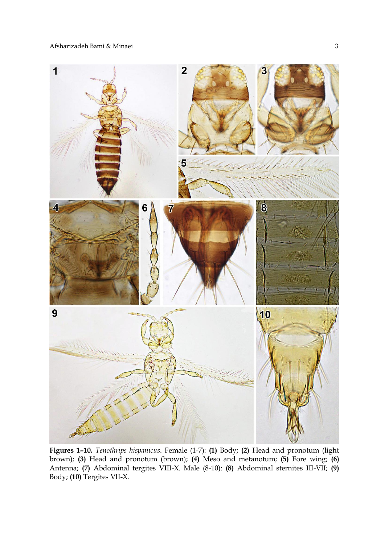

**Figures 1–10.** *Tenothrips hispanicus*. Female (1-7): **(1)** Body; **(2)** Head and pronotum (light brown); **(3)** Head and pronotum (brown); **(4)** Meso and metanotum; **(5)** Fore wing; **(6)**  Antenna; **(7)** Abdominal tergites VIII-X. Male (8-10): **(8)** Abdominal sternites III-VII; **(9)**  Body; **(10)** Tergites VII-X.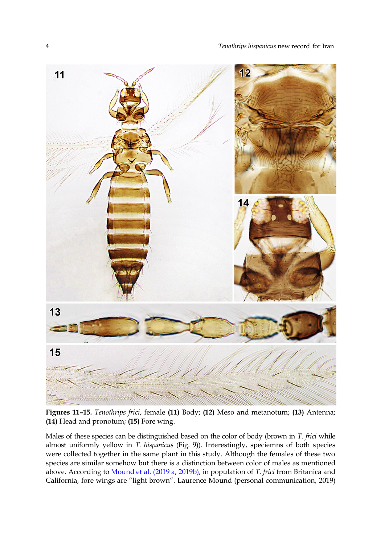

**Figures 11–15.** *Tenothrips frici*, female **(11)** Body; **(12)** Meso and metanotum; **(13)** Antenna; **(14)** Head and pronotum; **(15)** Fore wing.

Males of these species can be distinguished based on the color of body (brown in *T. frici* while almost uniformly yellow in *T. hispanicus* (Fig. 9)). Interestingly, speciemns of both species were collected together in the same plant in this study. Although the females of these two species are similar somehow but there is a distinction between color of males as mentioned above. According to [Mound et al. \(2019 a,](#page-4-6) [2019b\),](#page-4-7) in population of *T. frici* from Britanica and California, fore wings are "light brown". Laurence Mound (personal communication, 2019)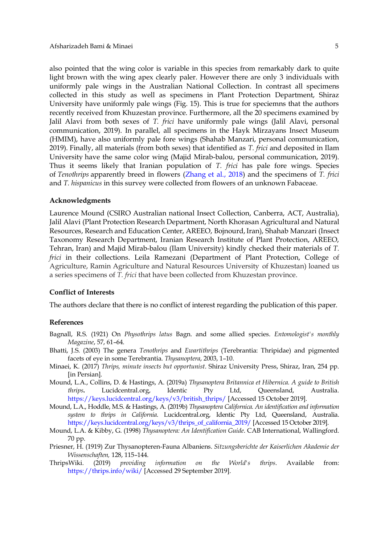also pointed that the wing color is variable in this species from remarkably dark to quite light brown with the wing apex clearly paler. However there are only 3 individuals with uniformly pale wings in the Australian National Collection. In contrast all specimens collected in this study as well as specimens in Plant Protection Department, Shiraz University have uniformly pale wings (Fig. 15). This is true for speciemns that the authors recently received from Khuzestan province. Furthermore, all the 20 specimens examined by Jalil Alavi from both sexes of *T. frici* have uniformly pale wings (Jalil Alavi, personal communication, 2019). In parallel, all specimens in the Hayk Mirzayans Insect Museum (HMIM), have also uniformly pale fore wings (Shahab Manzari, personal communication, 2019). Finally, all materials (from both sexes) that identified as *T. frici* and deposited in Ilam University have the same color wing (Majid Mirab-balou, personal communication, 2019). Thus it seems likely that Iranian population of *T. frici* has pale fore wings. Species of *Tenothrips* apparently breed in flowers [\(Zhang et al., 2018\)](#page-5-0) and the specimens of *T. frici* and *T. hispanicus* in this survey were collected from flowers of an unknown Fabaceae.

#### **Acknowledgments**

Laurence Mound (CSIRO Australian national Insect Collection, Canberra, ACT, Australia), Jalil Alavi (Plant Protection Research Department, North Khorasan Agricultural and Natural Resources, Research and Education Center, AREEO, Bojnourd,Iran), Shahab Manzari (Insect Taxonomy Research Department, Iranian Research Institute of Plant Protection, AREEO, Tehran, Iran) and Majid Mirab-balou (Ilam University) kindly checked their materials of *T. frici* in their collections. Leila Ramezani (Department of Plant Protection, College of Agriculture, Ramin Agriculture and Natural Resources University of Khuzestan) loaned us a series specimens of *T. frici* that have been collected from Khuzestan province.

#### **Conflict of Interests**

The authors declare that there is no conflict of interest regarding the publication of this paper.

#### **References**

- <span id="page-4-3"></span>Bagnall, R.S. (1921) On *Physothrips latus* Bagn. and some allied species. *Entomologist's monthly Magazine*, 57, 61–64.
- <span id="page-4-5"></span>Bhatti, J.S. (2003) The genera *Tenothrips* and *Ewartithrips* (Terebrantia: Thripidae) and pigmented facets of eye in some Terebrantia. *Thysanoptera*, 2003, 1–10.
- <span id="page-4-1"></span>Minaei, K. (2017) *Thrips, minute insects but opportunist*. Shiraz University Press, Shiraz, Iran, 254 pp. [in Persian].
- <span id="page-4-6"></span>Mound, L.A., Collins, D. & Hastings, A. (2019a) *Thysanoptera Britannica et Hibernica. A guide to British thrips***.** Lucidcentral.org, Identic Pty Ltd, Queensland, Australia. [https://keys.lucidcentral.org/keys/v3/british\\_thrips/](https://keys.lucidcentral.org/keys/v3/british_thrips/) [Accessed 15 October 2019].
- <span id="page-4-7"></span>Mound, L.A., Hoddle, M.S. & Hastings, A. (2019b) *Thysanoptera Californica. An identification and information system to thrips in California*. Lucidcentral.org, Identic Pty Ltd, Queensland, Australia. [https://keys.lucidcentral.org/keys/v3/thrips\\_of\\_california\\_2019/](https://keys.lucidcentral.org/keys/v3/thrips_of_california_2019/) [Accessed 15 October 2019].
- <span id="page-4-2"></span>Mound, L.A. & Kibby, G. (1998) *Thysanoptera: An Identification Guide*. CAB International, Wallingford. 70 pp.
- <span id="page-4-4"></span>Priesner, H. (1919) Zur Thysanopteren-Fauna Albaniens. *Sitzungsberichte der Kaiserlichen Akademie der Wissenschaften,* 128, 115–144.
- <span id="page-4-0"></span>ThripsWiki. (2019) *providing information on the World's thrips*. Available from: <https://thrips.info/wiki/> [Accessed 29 September 2019].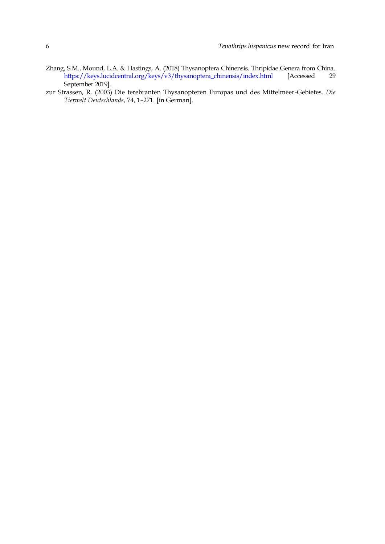- <span id="page-5-0"></span>Zhang, S.M., Mound, L.A. & Hastings, A. (2018) Thysanoptera Chinensis. Thripidae Genera from China. [https://keys.lucidcentral.org/keys/v3/thysanoptera\\_chinensis/index.html](https://keys.lucidcentral.org/keys/v3/thysanoptera_chinensis/index.html) [Accessed 29 September 2019].
- <span id="page-5-1"></span>zur Strassen, R. (2003) Die terebranten Thysanopteren Europas und des Mittelmeer-Gebietes. *Die Tierwelt Deutschlands*, 74, 1–271. [in German].